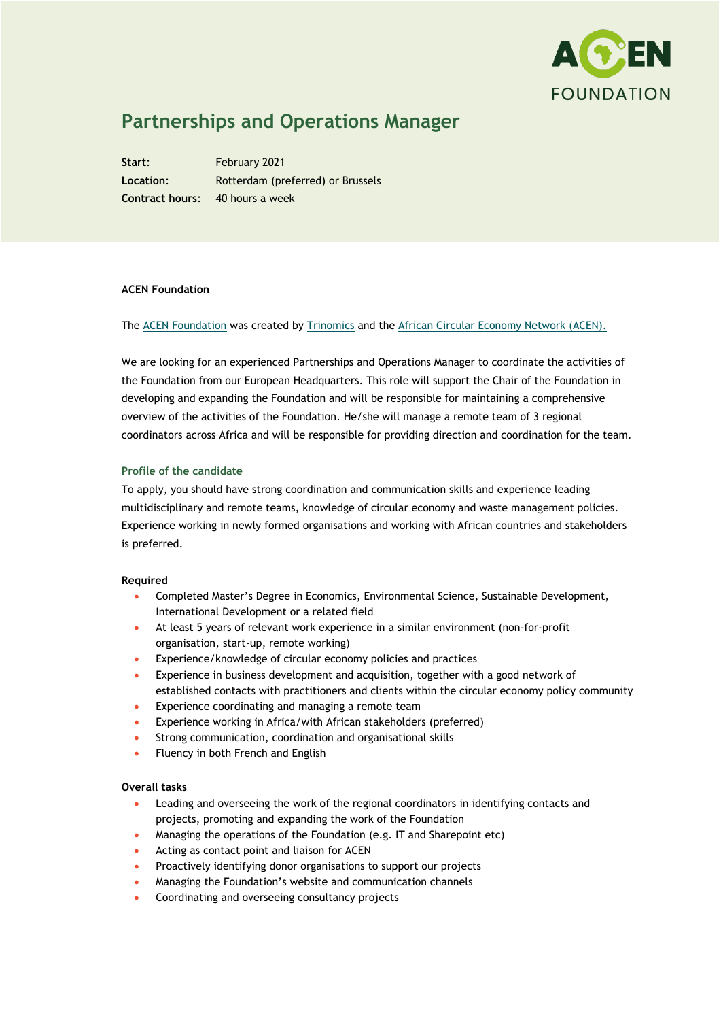

# **Partnerships and Operations Manager**

**Start**: February 2021 **Location**: Rotterdam (preferred) or Brussels **Contract hours**: 40 hours a week

### **ACEN Foundation**

## The [ACEN Foundation](https://acenfoundation.org/) was created by [Trinomics](http://trinomics.eu/) and the [African Circular Economy Network \(ACEN\).](https://www.acen.africa/)

We are looking for an experienced Partnerships and Operations Manager to coordinate the activities of the Foundation from our European Headquarters. This role will support the Chair of the Foundation in developing and expanding the Foundation and will be responsible for maintaining a comprehensive overview of the activities of the Foundation. He/she will manage a remote team of 3 regional coordinators across Africa and will be responsible for providing direction and coordination for the team.

## **Profile of the candidate**

To apply, you should have strong coordination and communication skills and experience leading multidisciplinary and remote teams, knowledge of circular economy and waste management policies. Experience working in newly formed organisations and working with African countries and stakeholders is preferred.

#### **Required**

- Completed Master's Degree in Economics, Environmental Science, Sustainable Development, International Development or a related field
- At least 5 years of relevant work experience in a similar environment (non-for-profit organisation, start-up, remote working)
- Experience/knowledge of circular economy policies and practices
- Experience in business development and acquisition, together with a good network of established contacts with practitioners and clients within the circular economy policy community
- Experience coordinating and managing a remote team
- Experience working in Africa/with African stakeholders (preferred)
- Strong communication, coordination and organisational skills
- Fluency in both French and English

#### **Overall tasks**

- Leading and overseeing the work of the regional coordinators in identifying contacts and projects, promoting and expanding the work of the Foundation
- Managing the operations of the Foundation (e.g. IT and Sharepoint etc)
- Acting as contact point and liaison for ACEN
- Proactively identifying donor organisations to support our projects
- Managing the Foundation's website and communication channels
- Coordinating and overseeing consultancy projects